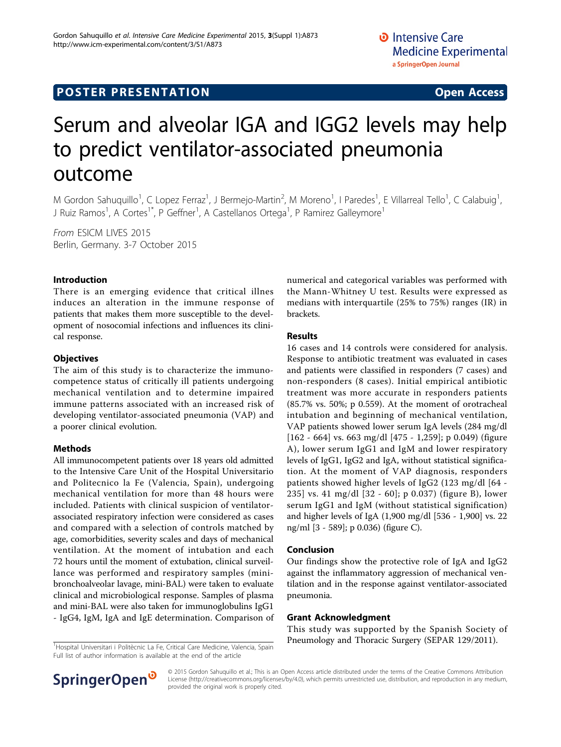## **POSTER PRESENTATION CONSUMING EXAMPLE 2008**

# Serum and alveolar IGA and IGG2 levels may help to predict ventilator-associated pneumonia outcome

M Gordon Sahuquillo<sup>1</sup>, C Lopez Ferraz<sup>1</sup>, J Bermejo-Martin<sup>2</sup>, M Moreno<sup>1</sup>, I Paredes<sup>1</sup>, E Villarreal Tello<sup>1</sup>, C Calabuig<sup>1</sup> , J Ruiz Ramos<sup>1</sup>, A Cortes<sup>1\*</sup>, P Geffner<sup>1</sup>, A Castellanos Ortega<sup>1</sup>, P Ramirez Galleymore<sup>1</sup>

From ESICM LIVES 2015 Berlin, Germany. 3-7 October 2015

#### Introduction

There is an emerging evidence that critical illnes induces an alteration in the immune response of patients that makes them more susceptible to the development of nosocomial infections and influences its clinical response.

#### **Objectives**

The aim of this study is to characterize the immunocompetence status of critically ill patients undergoing mechanical ventilation and to determine impaired immune patterns associated with an increased risk of developing ventilator-associated pneumonia (VAP) and a poorer clinical evolution.

#### Methods

All immunocompetent patients over 18 years old admitted to the Intensive Care Unit of the Hospital Universitario and Politecnico la Fe (Valencia, Spain), undergoing mechanical ventilation for more than 48 hours were included. Patients with clinical suspicion of ventilatorassociated respiratory infection were considered as cases and compared with a selection of controls matched by age, comorbidities, severity scales and days of mechanical ventilation. At the moment of intubation and each 72 hours until the moment of extubation, clinical surveillance was performed and respiratory samples (minibronchoalveolar lavage, mini-BAL) were taken to evaluate clinical and microbiological response. Samples of plasma and mini-BAL were also taken for immunoglobulins IgG1 - IgG4, IgM, IgA and IgE determination. Comparison of numerical and categorical variables was performed with the Mann-Whitney U test. Results were expressed as medians with interquartile (25% to 75%) ranges (IR) in brackets.

#### Results

16 cases and 14 controls were considered for analysis. Response to antibiotic treatment was evaluated in cases and patients were classified in responders (7 cases) and non-responders (8 cases). Initial empirical antibiotic treatment was more accurate in responders patients (85.7% vs. 50%; p 0.559). At the moment of orotracheal intubation and beginning of mechanical ventilation, VAP patients showed lower serum IgA levels (284 mg/dl [162 - 664] vs. 663 mg/dl [475 - 1,259]; p 0.049) (figure A), lower serum IgG1 and IgM and lower respiratory levels of IgG1, IgG2 and IgA, without statistical signification. At the moment of VAP diagnosis, responders patients showed higher levels of IgG2 (123 mg/dl [64 - 235] vs. 41 mg/dl [32 - 60]; p 0.037) (figure B), lower serum IgG1 and IgM (without statistical signification) and higher levels of IgA (1,900 mg/dl [536 - 1,900] vs. 22 ng/ml [3 - 589]; p 0.036) (figure C).

#### Conclusion

Our findings show the protective role of IgA and IgG2 against the inflammatory aggression of mechanical ventilation and in the response against ventilator-associated pneumonia.

#### Grant Acknowledgment

This study was supported by the Spanish Society of Pneumology and Thoracic Surgery (SEPAR 129/2011).

<sup>1</sup>Hospital Universitari i Politècnic La Fe, Critical Care Medicine, Valencia, Spain Full list of author information is available at the end of the article



© 2015 Gordon Sahuquillo et al.; This is an Open Access article distributed under the terms of the Creative Commons Attribution License [\(http://creativecommons.org/licenses/by/4.0](http://creativecommons.org/licenses/by/4.0)), which permits unrestricted use, distribution, and reproduction in any medium, provided the original work is properly cited.